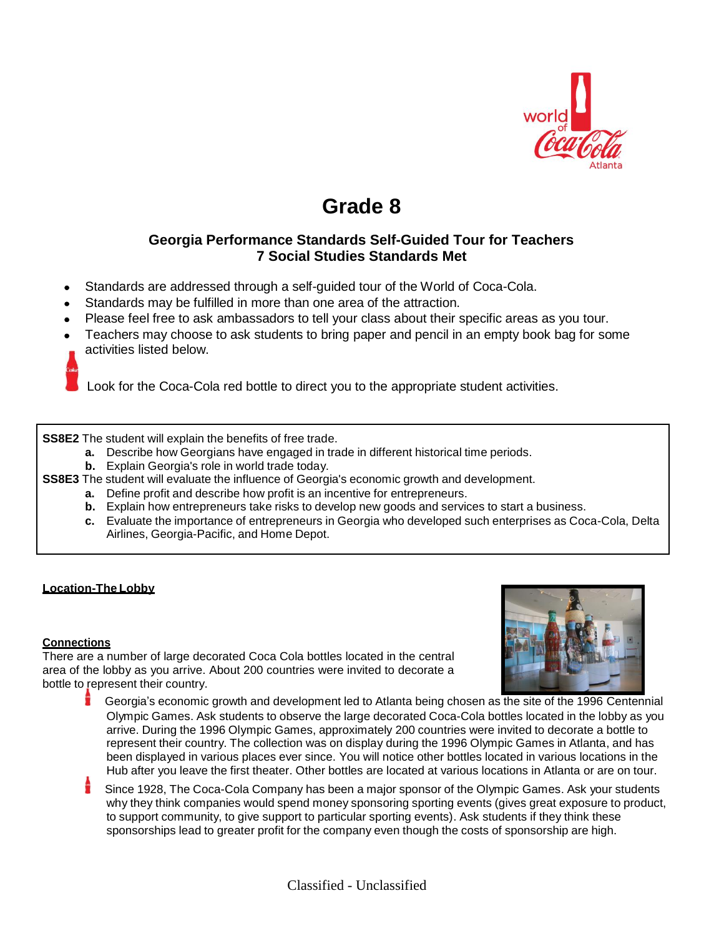

# **Grade 8**

## **Georgia Performance Standards Self-Guided Tour for Teachers 7 Social Studies Standards Met**

- Standards are addressed through a self-guided tour of the World of Coca-Cola.
- Standards may be fulfilled in more than one area of the attraction.
- Please feel free to ask ambassadors to tell your class about their specific areas as you tour.
- Teachers may choose to ask students to bring paper and pencil in an empty book bag for some activities listed below.
- 

Look for the Coca-Cola red bottle to direct you to the appropriate student activities.

**SS8E2** The student will explain the benefits of free trade.

- **a.** Describe how Georgians have engaged in trade in different historical time periods.
- **b.** Explain Georgia's role in world trade today.
- **SS8E3** The student will evaluate the influence of Georgia's economic growth and development.
	- **a.** Define profit and describe how profit is an incentive for entrepreneurs.
	- **b.** Explain how entrepreneurs take risks to develop new goods and services to start a business.
	- **c.** Evaluate the importance of entrepreneurs in Georgia who developed such enterprises as Coca-Cola, Delta Airlines, Georgia-Pacific, and Home Depot.

#### **Location-The Lobby**

#### **Connections**

There are a number of large decorated Coca Cola bottles located in the central area of the lobby as you arrive. About 200 countries were invited to decorate a bottle to represent their country.



- Georgia's economic growth and development led to Atlanta being chosen as the site of the 1996 Centennial Olympic Games. Ask students to observe the large decorated Coca-Cola bottles located in the lobby as you arrive. During the 1996 Olympic Games, approximately 200 countries were invited to decorate a bottle to represent their country. The collection was on display during the 1996 Olympic Games in Atlanta, and has been displayed in various places ever since. You will notice other bottles located in various locations in the Hub after you leave the first theater. Other bottles are located at various locations in Atlanta or are on tour.
- Since 1928, The Coca-Cola Company has been a major sponsor of the Olympic Games. Ask your students why they think companies would spend money sponsoring sporting events (gives great exposure to product, to support community, to give support to particular sporting events). Ask students if they think these sponsorships lead to greater profit for the company even though the costs of sponsorship are high.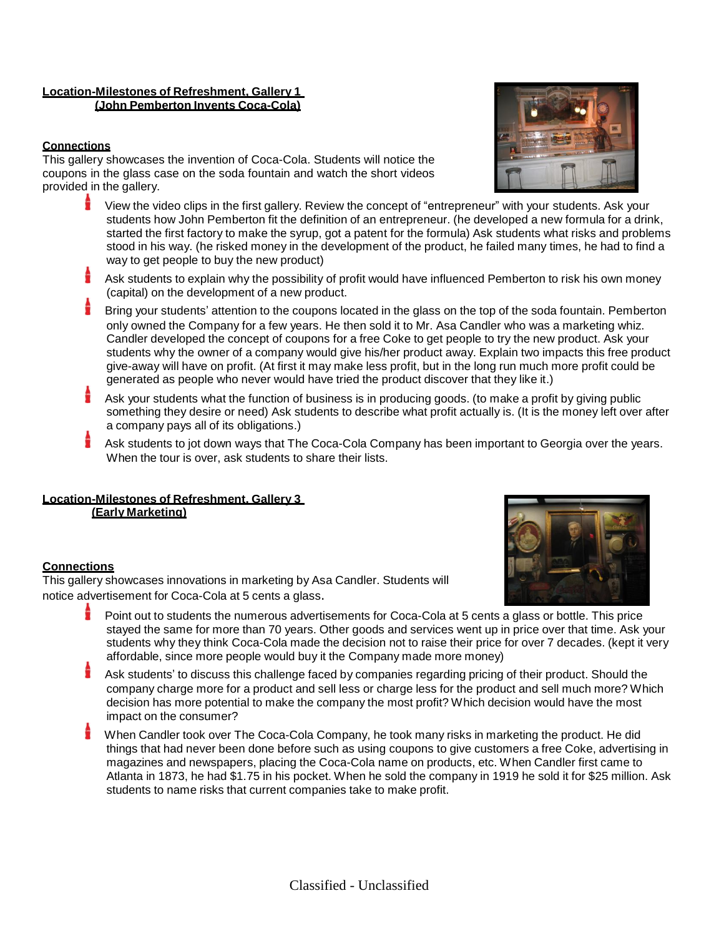#### **Location-Milestones of Refreshment, Gallery 1 (John Pemberton Invents Coca-Cola)**

#### **Connections**

This gallery showcases the invention of Coca-Cola. Students will notice the coupons in the glass case on the soda fountain and watch the short videos provided in the gallery.

- View the video clips in the first gallery. Review the concept of "entrepreneur" with your students. Ask your students how John Pemberton fit the definition of an entrepreneur. (he developed a new formula for a drink, started the first factory to make the syrup, got a patent for the formula) Ask students what risks and problems stood in his way. (he risked money in the development of the product, he failed many times, he had to find a way to get people to buy the new product)
- Ask students to explain why the possibility of profit would have influenced Pemberton to risk his own money (capital) on the development of a new product.
- Bring your students' attention to the coupons located in the glass on the top of the soda fountain. Pemberton only owned the Company for a few years. He then sold it to Mr. Asa Candler who was a marketing whiz. Candler developed the concept of coupons for a free Coke to get people to try the new product. Ask your students why the owner of a company would give his/her product away. Explain two impacts this free product give-away will have on profit. (At first it may make less profit, but in the long run much more profit could be generated as people who never would have tried the product discover that they like it.)
- Ask your students what the function of business is in producing goods. (to make a profit by giving public something they desire or need) Ask students to describe what profit actually is. (It is the money left over after a company pays all of its obligations.)
- Ask students to jot down ways that The Coca-Cola Company has been important to Georgia over the years. When the tour is over, ask students to share their lists.

## **Location-Milestones of Refreshment, Gallery 3**

**(Early Marketing)**

#### **Connections**

This gallery showcases innovations in marketing by Asa Candler. Students will notice advertisement for Coca-Cola at 5 cents a glass.

- Point out to students the numerous advertisements for Coca-Cola at 5 cents a glass or bottle. This price stayed the same for more than 70 years. Other goods and services went up in price over that time. Ask your students why they think Coca-Cola made the decision not to raise their price for over 7 decades. (kept it very affordable, since more people would buy it the Company made more money)
- Ask students' to discuss this challenge faced by companies regarding pricing of their product. Should the company charge more for a product and sell less or charge less for the product and sell much more? Which decision has more potential to make the company the most profit? Which decision would have the most impact on the consumer?
- When Candler took over The Coca-Cola Company, he took many risks in marketing the product. He did things that had never been done before such as using coupons to give customers a free Coke, advertising in magazines and newspapers, placing the Coca-Cola name on products, etc. When Candler first came to Atlanta in 1873, he had \$1.75 in his pocket. When he sold the company in 1919 he sold it for \$25 million. Ask students to name risks that current companies take to make profit.



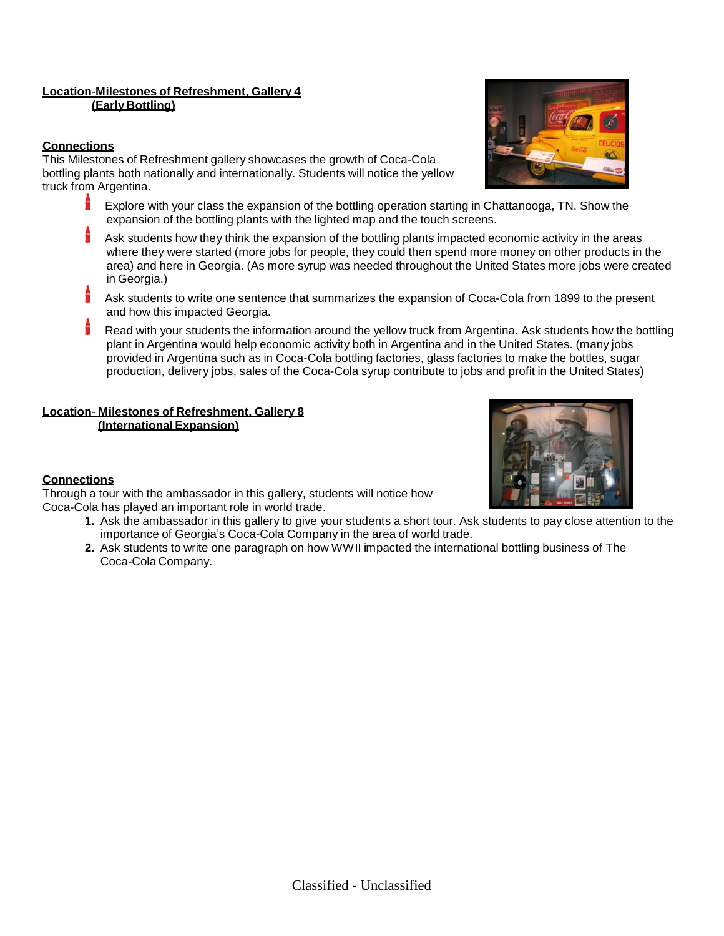#### **Location**-**Milestones of Refreshment, Gallery 4 (Early Bottling)**

#### **Connections**

This Milestones of Refreshment gallery showcases the growth of Coca-Cola bottling plants both nationally and internationally. Students will notice the yellow truck from Argentina.

- Explore with your class the expansion of the bottling operation starting in Chattanooga, TN. Show the expansion of the bottling plants with the lighted map and the touch screens.
- Ask students how they think the expansion of the bottling plants impacted economic activity in the areas where they were started (more jobs for people, they could then spend more money on other products in the area) and here in Georgia. (As more syrup was needed throughout the United States more jobs were created in Georgia.)
- Ask students to write one sentence that summarizes the expansion of Coca-Cola from 1899 to the present and how this impacted Georgia.
- Read with your students the information around the yellow truck from Argentina. Ask students how the bottling plant in Argentina would help economic activity both in Argentina and in the United States. (many jobs provided in Argentina such as in Coca-Cola bottling factories, glass factories to make the bottles, sugar production, delivery jobs, sales of the Coca-Cola syrup contribute to jobs and profit in the United States)

#### **Location**- **Milestones of Refreshment, Gallery 8 (International Expansion)**

## **Connections**

Through a tour with the ambassador in this gallery, students will notice how Coca-Cola has played an important role in world trade.

- **1.** Ask the ambassador in this gallery to give your students a short tour. Ask students to pay close attention to the importance of Georgia's Coca-Cola Company in the area of world trade.
- **2.** Ask students to write one paragraph on how WWII impacted the international bottling business of The Coca-Cola Company.



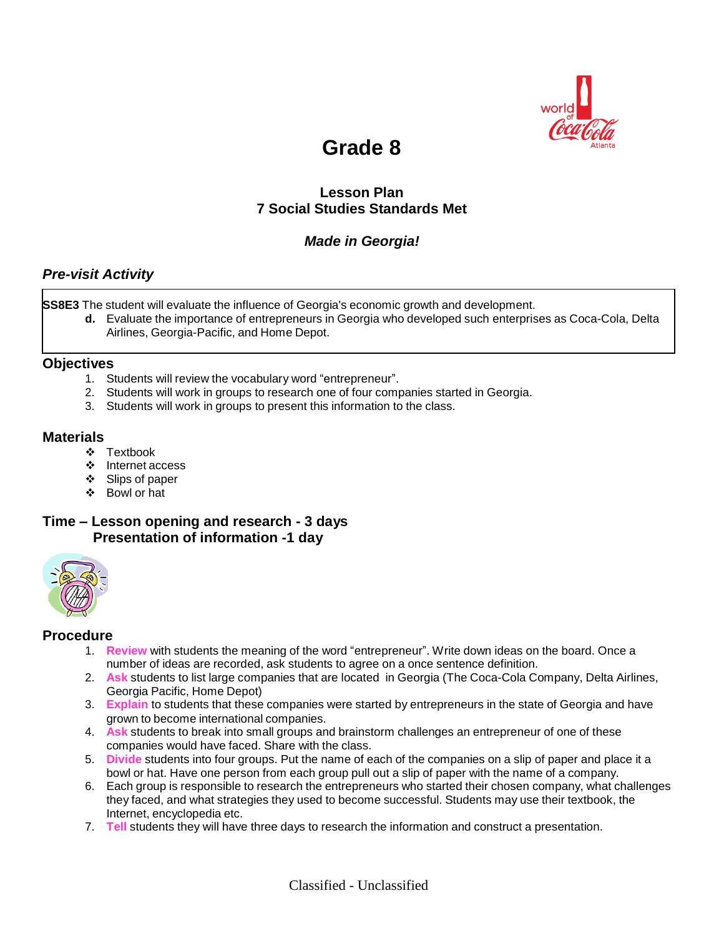

## **Grade 8**

## **Lesson Plan 7 Social Studies Standards Met**

## *Made in Georgia!*

## *Pre-visit Activity*

**SS8E3** The student will evaluate the influence of Georgia's economic growth and development.

**d.** Evaluate the importance of entrepreneurs in Georgia who developed such enterprises as Coca-Cola, Delta Airlines, Georgia-Pacific, and Home Depot.

#### **Objectives**

- 1. Students will review the vocabulary word "entrepreneur".
- 2. Students will work in groups to research one of four companies started in Georgia.
- 3. Students will work in groups to present this information to the class.

#### **Materials**

- ❖ Textbook
- ❖ Internet access
- ❖ Slips of paper
- Bowl or hat

### **Time – Lesson opening and research - 3 days Presentation of information -1 day**



#### **Procedure**

- 1. **Review** with students the meaning of the word "entrepreneur". Write down ideas on the board. Once a number of ideas are recorded, ask students to agree on a once sentence definition.
- 2. **Ask** students to list large companies that are located in Georgia (The Coca-Cola Company, Delta Airlines, Georgia Pacific, Home Depot)
- 3. **Explain** to students that these companies were started by entrepreneurs in the state of Georgia and have grown to become international companies.
- 4. **Ask** students to break into small groups and brainstorm challenges an entrepreneur of one of these companies would have faced. Share with the class.
- 5. **Divide** students into four groups. Put the name of each of the companies on a slip of paper and place it a bowl or hat. Have one person from each group pull out a slip of paper with the name of a company.
- 6. Each group is responsible to research the entrepreneurs who started their chosen company, what challenges they faced, and what strategies they used to become successful. Students may use their textbook, the Internet, encyclopedia etc.
- 7. **Tell** students they will have three days to research the information and construct a presentation.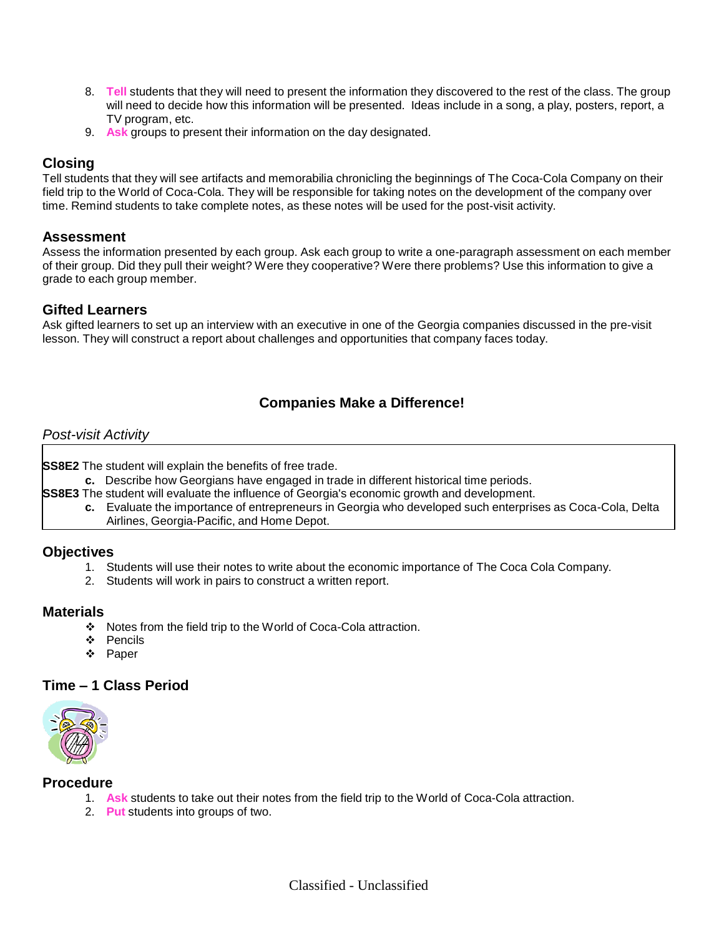- 8. **Tell** students that they will need to present the information they discovered to the rest of the class. The group will need to decide how this information will be presented. Ideas include in a song, a play, posters, report, a TV program, etc.
- 9. **Ask** groups to present their information on the day designated.

## **Closing**

Tell students that they will see artifacts and memorabilia chronicling the beginnings of The Coca-Cola Company on their field trip to the World of Coca-Cola. They will be responsible for taking notes on the development of the company over time. Remind students to take complete notes, as these notes will be used for the post-visit activity.

#### **Assessment**

Assess the information presented by each group. Ask each group to write a one-paragraph assessment on each member of their group. Did they pull their weight? Were they cooperative? Were there problems? Use this information to give a grade to each group member.

#### **Gifted Learners**

Ask gifted learners to set up an interview with an executive in one of the Georgia companies discussed in the pre-visit lesson. They will construct a report about challenges and opportunities that company faces today.

## **Companies Make a Difference!**

#### *Post-visit Activity*

**SS8E2** The student will explain the benefits of free trade.

**c.** Describe how Georgians have engaged in trade in different historical time periods.

**SS8E3** The student will evaluate the influence of Georgia's economic growth and development.

**c.** Evaluate the importance of entrepreneurs in Georgia who developed such enterprises as Coca-Cola, Delta Airlines, Georgia-Pacific, and Home Depot.

#### **Objectives**

- 1. Students will use their notes to write about the economic importance of The Coca Cola Company.
- 2. Students will work in pairs to construct a written report.

#### **Materials**

- Notes from the field trip to the World of Coca-Cola attraction.
- ❖ Pencils
- ❖ Paper

#### **Time – 1 Class Period**



#### **Procedure**

- 1. **Ask** students to take out their notes from the field trip to the World of Coca-Cola attraction.
- 2. **Put** students into groups of two.